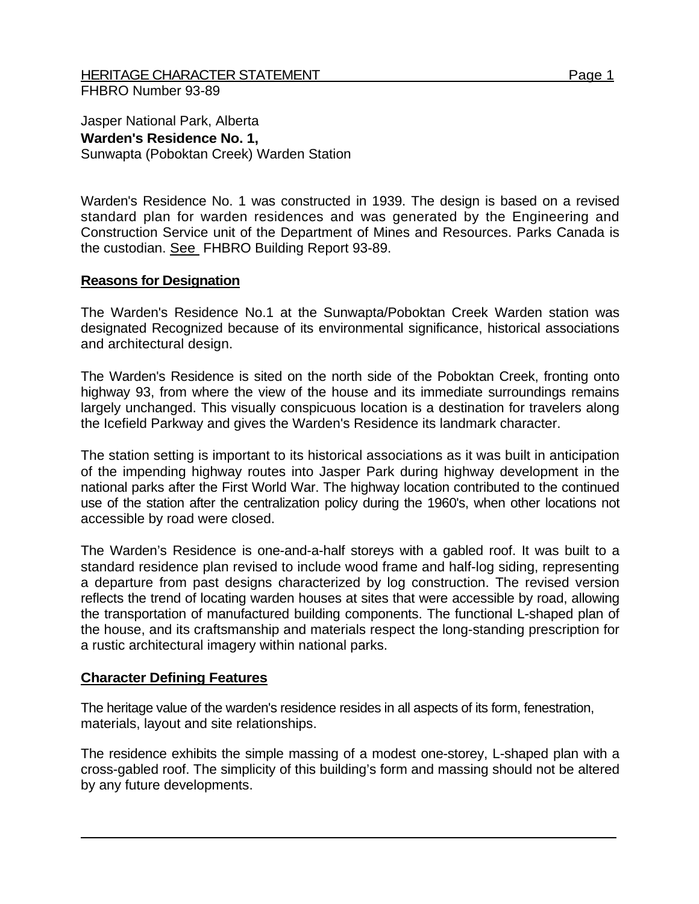## HERITAGE CHARACTER STATEMENT FRIELD FOR A STATEMENT AND RAGE 1 FHBRO Number 93-89

Jasper National Park, Alberta **Warden's Residence No. 1,**  Sunwapta (Poboktan Creek) Warden Station

Warden's Residence No. 1 was constructed in 1939. The design is based on a revised standard plan for warden residences and was generated by the Engineering and Construction Service unit of the Department of Mines and Resources. Parks Canada is the custodian. See FHBRO Building Report 93-89.

## **Reasons for Designation**

The Warden's Residence No.1 at the Sunwapta/Poboktan Creek Warden station was designated Recognized because of its environmental significance, historical associations and architectural design.

The Warden's Residence is sited on the north side of the Poboktan Creek, fronting onto highway 93, from where the view of the house and its immediate surroundings remains largely unchanged. This visually conspicuous location is a destination for travelers along the Icefield Parkway and gives the Warden's Residence its landmark character.

The station setting is important to its historical associations as it was built in anticipation of the impending highway routes into Jasper Park during highway development in the national parks after the First World War. The highway location contributed to the continued use of the station after the centralization policy during the 1960's, when other locations not accessible by road were closed.

The Warden's Residence is one-and-a-half storeys with a gabled roof. It was built to a standard residence plan revised to include wood frame and half-log siding, representing a departure from past designs characterized by log construction. The revised version reflects the trend of locating warden houses at sites that were accessible by road, allowing the transportation of manufactured building components. The functional L-shaped plan of the house, and its craftsmanship and materials respect the long-standing prescription for a rustic architectural imagery within national parks.

## **Character Defining Features**

The heritage value of the warden's residence resides in all aspects of its form, fenestration, materials, layout and site relationships.

The residence exhibits the simple massing of a modest one-storey, L-shaped plan with a cross-gabled roof. The simplicity of this building's form and massing should not be altered by any future developments.